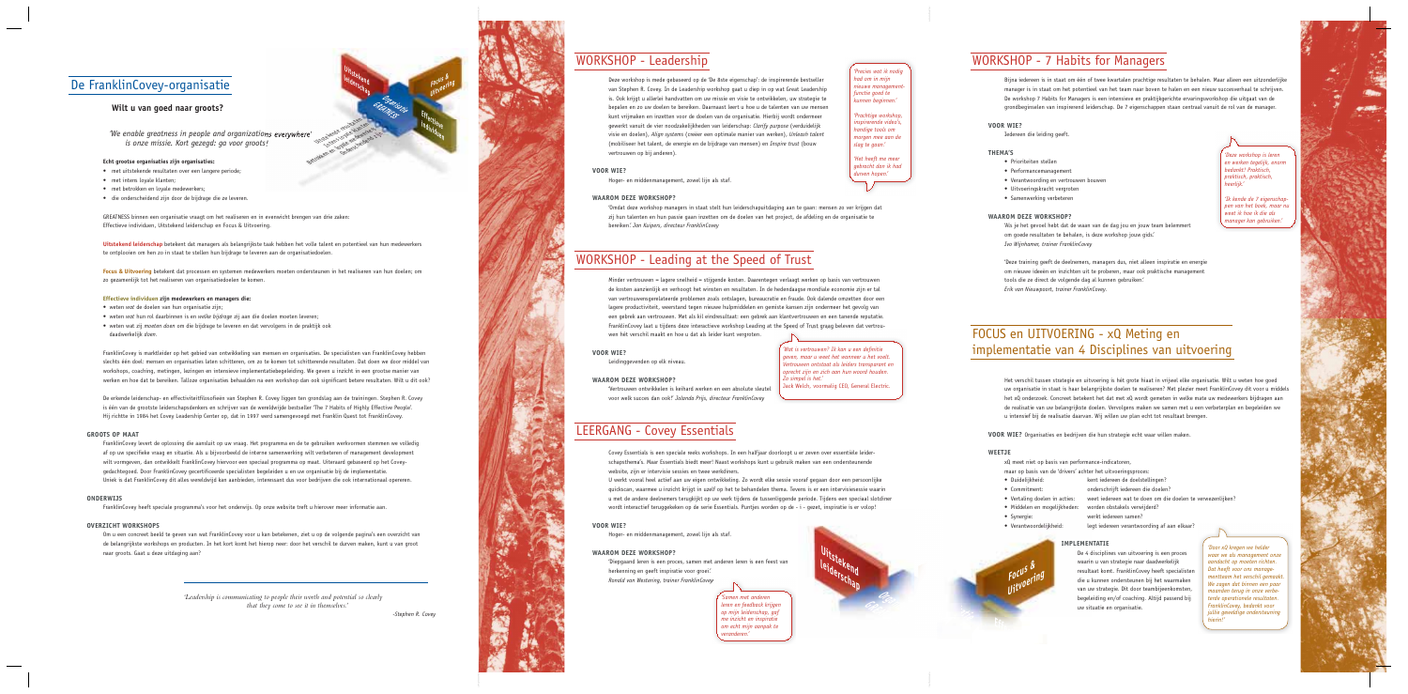

*'We enable greatness in people and organizations everywhere' is onze missie. Kort gezegd: ga voor groots!*  Betrokken en loyae kenedlers

## De FranklinCovey-organisatie

### **Wilt u van goed naar groots?**

#### **Echt grootse organisaties zijn organisaties:**

- met uitstekende resultaten over een langere periode:
- met intens lovale klanten
- met betrokken en loyale medewerkers;
- die onderscheidend zijn door de bijdrage die ze leveren.

GREATNESS binnen een organisatie vraagt om het realiseren en in evenwicht brengen van drie zaken: Effectieve individuen, Uitstekend leiderschap en Focus & Uitvoering.

Uitstekend leiderschap betekent dat managers als belangrijkste taak hebben het volle talent en potentieel van hun medewerkers te ontplooien om hen zo in staat te stellen hun bijdrage te leveren aan de organisatiedoelen.

Focus & Uitvoering betekent dat processen en systemen medewerkers moeten ondersteunen in het realiseren van hun doelen; om zo gezamenlijk tot het realiseren van organisatiedoelen te komen.

#### **Effectieve individuen zijn medewerkers en managers die:**

- weten wat de doelen van hun organisatie zijn;
- weten wat hun rol daarbinnen is en welke bijdrage zij aan die doelen moeten leveren;
- weten wat zij *moeten doen* om die bijdrage te leveren en dat vervolgens in de praktijk ook daadwerkelijk doen.

FranklinCovey is marktleider op het gebied van ontwikkeling van mensen en organisaties. De specialisten van FranklinCovey hebben slechts één doel: mensen en organisaties laten schitteren, om zo te komen tot schitterende resultaten. Dat doen we door middel van workshops, coaching, metingen, lezingen en intensieve implementatiebegeleiding. We geven u inzicht in een grootse manier van werken en hoe dat te bereiken. Talloze organisaties behaalden na een workshop dan ook significant betere resultaten. Wilt u dit ook?

De erkende leiderschap- en effectiviteitfilosofieën van Stephen R. Covey liggen ten grondslag aan de trainingen. Stephen R. Covey is één van de grootste leiderschapsdenkers en schrijver van de wereldwijde bestseller 'The 7 Habits of Highly Effective People'. Hij richtte in 1984 het Covey Leadership Center op, dat in 1997 werd samengevoegd met Franklin Quest tot FranklinCovey.

#### **GROOTS OP MAAT**

FranklinCovey levert de oplossing die aansluit op uw vraag. Het programma en de te gebruiken werkvormen stemmen we volledig af op uw specifieke vraag en situatie. Als u bijvoorbeeld de interne samenwerking wilt verbeteren of management development wilt vormgeven, dan ontwikkelt FranklinCovey hiervoor een speciaal programma op maat. Uiteraard gebaseerd op het Coveygedachtegoed. Door FranklinCovey gecertificeerde specialisten begeleiden u en uw organisatie bij de implementatie. Uniek is dat FranklinCovey dit alles wereldwijd kan aanbieden, interessant dus voor bedrijven die ook internationaal opereren.

**WAAROM DEZE WORKSHOP?** Vertrouwen ontwikkelen is keihard werken en een absolute sleutel voor welk succes dan ook!' Jolanda Prijs, directeur FranklinCovey

### LEERGANG - Covey Essentials

website, zijn er intervisie sessies en twee werkdiners

#### **ONDERWIJS**

FranklinCovey heeft speciale programma's voor het onderwijs. Op onze website treft u hierover meer informatie aan.

#### **OVERZICHT WORKSHOPS**

Om u een concreet beeld te geven van wat FranklinCovey voor u kan betekenen, ziet u op de volgende pagina's een overzicht van de belangrijkste workshops en producten. In het kort komt het hierop neer: door het verschil te durven maken, kunt u van groot naar groots. Gaat u deze uitdaging aan?

> herkenning en geeft inspiratie voor groei. *Ronald van Westering, trainer FranklinCovey*



'Omdat deze workshop managers in staat stelt hun leiderschapuitdaging aan te gaan: mensen zo ver krijgen dat zij hun talenten en hun passie gaan inzetten om de doelen van het project, de afdeling en de organisatie te

Covey Essentials is een speciale reeks workshops. In een halfiaar doorloopt u er zeven over essentiële leiderschapsthema's. Maar Essentials biedt meer! Naast workshops kunt u gebruik maken van een ondersteunende

U werkt vooral heel actief aan uw eigen ontwikkeling. Zo wordt elke sessie vooraf gegaan door een persoonlijke quickscan, waarmee u inzicht krijgt in uzelf op het te behandelen thema. Tevens is er een intervisiesessie waarin u met de andere deelnemers terugkijkt op uw werk tijdens de tussenliggende periode. Tijdens een speciaal slotdiner wordt interactief teruggekeken op de serie Essentials. Puntjes worden op de - i - gezet, inspiratie is er volop!

Hoger- en middenmanagement, zowel lijn als staf.

'Diepgaand leren is een proces, samen met anderen leren is een feest van

'Als je het gevoel hebt dat de waan van de dag jou en jouw team belemmert om goede resultaten te behalen, is deze workshop jouw gids. *Ivo Wijnhamer, trainer FranklinCovey*

'Deze training geeft de deelnemers, managers dus, niet alleen inspiratie en energie om nieuwe ideeën en inzichten uit te proberen, maar ook praktische management tools die ze direct de volgende dag al kunnen gebruiken. *Erik van Nieuwpoort, trainer FranklinCovey.*

### FOCUS en UITVOERING - xQ Meting en implementatie van 4 Disciplines van uitvoering

Het verschil tussen strategie en uitvoering is hét grote hiaat in vrijwel elke organisatie. Wilt u weten hoe goed uw organisatie in staat is haar belangrijkste doelen te realiseren? Met plezier meet FranklinCovey dit voor u middels het xQ onderzoek. Concreet betekent het dat met xQ wordt gemeten in welke mate uw medewerkers bijdragen aan de realisatie van uw belangrijkste doelen. Vervolgens maken we samen met u een verbeterplan en begeleiden we u intensief bij de realisatie daarvan. Wij willen uw plan echt tot resultaat brengen.

VOOR WIE? Organisaties en bedrijven die hun strategie echt waar willen maken.

*'Wat is vertrouwen? Ik kan u een definitie geven, maar u weet het wanneer u het voelt. Vertrouwen ontstaat als leiders transparant en oprecht zijn en zich aan hun woord houden.* 

Jack Welch, voormalig CEO, General Electric.

#### **VOOR WIE?**

Hoger- en middenmanagement, zowel lijn als staf.

#### **WAAROM DEZE WORKSHOP?**

bereiken*'. Jan Kuipers, directeur FranklinCovey* 

### WORKSHOP - Leading at the Speed of Trust

Minder vertrouwen = lagere snelheid = stijgende kosten. Daarentegen verlaagt werken op basis van vertrouwen de kosten aanzienlijk en verhoogt het winsten en resultaten. In de hedendaagse mondiale economie zijn er tal van vertrouwensgerelateerde problemen zoals ontslagen, bureaucratie en fraude. Ook dalende omzetten door een lagere productiviteit, weerstand tegen nieuwe hulpmiddelen en gemiste kansen zijn ondermeer het gevolg van een gebrek aan vertrouwen. Met als kil eindresultaat: een gebrek aan klantvertrouwen en een tanende reputatie. FranklinCovey laat u tijdens deze interactieve workshop Leading at the Speed of Trust graag beleven dat vertrouwen hét verschil maakt en hoe u dat als leider kunt vergroten.

#### **VOOR WIE?**

Leidinggevenden op elk niveau.

#### **VOOR WIE?**

### **WAAROM DEZE WORKSHOP?**

*'Leadership is communicating to people their worth and potential so clearly that they come to see it in themselves.'* 

*-Stephen R. Covey*

Uitstekend<br>Leiderschap **Brocus** & Cocus & Cocus & Cocus & Cocus & Cocus & Cocus & Cocus & Cocus & Cocus & Cocus & Cocus & Cocus & Cocus & Cocus & Cocus & Cocus & Cocus & Cocus & Cocus & Cocus & Cocus & Cocus & Cocus & Cocu

**VOOR WIE?**

Iedereen die leiding geeft.

#### **THEMA'S**

- · Prioriteiten stellen
- Performancemanagement
- Verantwoording en vertrouwen bouwen
- Uitvoeringskracht vergroten
- Samenwerking verbeteren

#### **WAAROM DEZE WORKSHOP?**

*'Precies wat ik nodig had om in mijn nieuwe managementfunctie goed te kunnen beginnen.' 'Prachtige workshop, inspirerende video's, handige tools om morgen mee aan de slag te gaan.' 'Het heeft me meer gebracht dan ik had durven hopen.'*

## WORKSHOP - 7 Habits for Managers

Bijna iedereen is in staat om één of twee kwartalen prachtige resultaten te behalen. Maar alleen een uitzonderlijke manager is in staat om het potentieel van het team naar boven te halen en een nieuw succesverhaal te schrijven. De workshop 7 Habits for Managers is een intensieve en praktijkgerichte ervaringsworkshop die uitgaat van de grondbeginselen van inspirerend leiderschap. De 7 eigenschappen staan centraal vanuit de rol van de manager.

*Zo simpel is het.'* 

*'Samen met anderen leren en feedback krijgen op mijn leiderschap, gaf me inzicht en inspiratie om echt mijn aanpak te veranderen.'*

*'Deze workshop is leren en werken tegelijk, enorm bedankt! Praktisch, praktisch, praktisch, heerlijk.'*

*'Ik kende de 7 eigenschappen van het boek, maar nu weet ik hoe ik die als manager kan gebruiken.'*



**/RGANISATIE '2%!4.%33**

Jitstekende resultaten Intensitive metal

(oyale medewellend zij)

Fo<sup>cus</sup>ering<br>Uit<sup>voering</sup>

Eff<sub>ectieve</sub><br>indiver individuen<br>**Individu**en

### WORKSHOP - Leadership

Deze workshop is mede gebaseerd op de 'De 8ste eigenschap': de inspirerende bestseller van Stephen R. Covey. In de Leadership workshop gaat u diep in op wat Great Leadership is. Ook krijgt u allerlei handvatten om uw missie en visie te ontwikkelen, uw strategie te bepalen en zo uw doelen te bereiken. Daarnaast leert u hoe u de talenten van uw mensen kunt vrijmaken en inzetten voor de doelen van de organisatie. Hierbij wordt ondermeer gewerkt vanuit de vier noodzakelijkheden van leiderschap: Clarify purpose (verduidelijk visie en doelen), Align systems (creëer een optimale manier van werken), Unleash talent (mobiliseer het talent, de energie en de bijdrage van mensen) en *Inspire trust* (bouw vertrouwen op bij anderen).

#### **WEETJE**

Focus & Fo<sup>cu</sup><br>Uit<sup>voering</sup>

 $F_{\text{fr}_{\text{max}}}$ 

xQ meet niet op basis van performance-indicatoren,

- maar op basis van de 'drivers' achter het uitvoeringsproces:
- Duidelijkheid: kent iedereen de doelstellingen?
- Commitment onderschrijft jedereen die doelen?
- Vertaling doelen in acties: weet iedereen wat te doen om die doelen te verwezenlijken?
- Middelen en mogelijkheden: worden obstakels verwijderd?
- Synergie werkt iedereen samen?
- Verantwoordelijkheid: legt iedereen verantwoording af aan elkaar?

#### **IMPLEMENTATIE**

De 4 disciplines van uitvoering is een proces waarin u van strategie naar daadwerkelijk resultaat komt. FranklinCovey heeft specialisten die u kunnen ondersteunen bij het waarmaken van uw strategie. Dit door teambijeenkomsten, begeleiding en/of coaching. Altijd passend bij uw situatie en organisatie.

*'Door xQ kregen we helder waar we als management onze aandacht op moeten richten. Dat heeft voor ons managementteam het verschil gemaakt. We zagen dat binnen een paar*  anden terug in onze verbe*terde operationele resultaten. FranklinCovey, bedankt voor jullie geweldige ondersteuning hierin!'*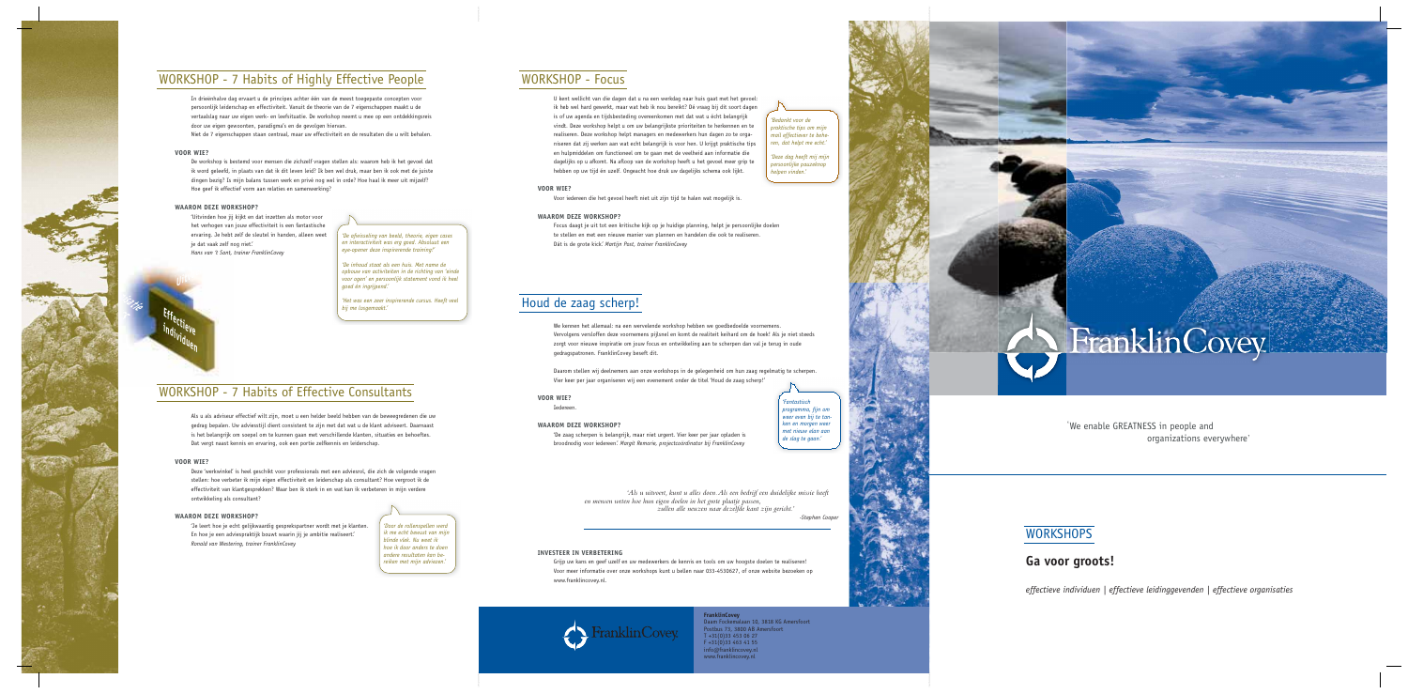

### **WORKSHOP - 7 Habits of Highly Effective People**

In drieënhalve dag ervaart u de principes achter één van de meest toegepaste concepten voor persoonlijk leiderschap en effectiviteit. Vanuit de theorie van de 7 eigenschappen maakt u de vertaalslag naar uw eigen werk- en leefsituatie. De workshop neemt u mee op een ontdekkingsreis door uw eigen gewoonten, paradigma's en de gevolgen hiervan.

Niet de 7 eigenschappen staan centraal, maar uw effectiviteit en de resultaten die u wilt behalen.

#### **VOOR WIE?**

De workshop is bestemd voor mensen die zichzelf vragen stellen als: waarom heb ik het gevoel dat ik word geleefd, in plaats van dat ik dit leven leid? Ik ben wel druk, maar ben ik ook met de juiste dingen bezig? Is mijn balans tussen werk en privé nog wel in orde? Hoe haal ik meer uit mijzelf? Hoe geef ik effectief vorm aan relaties en samenwerking?

#### **WAAROM DEZE WORKSHOP?**

'Uitvinden hoe jij kijkt en dat inzetten als motor voor het verhogen van jouw effectiviteit is een fantastische ervaring. Je hebt zelf de sleutel in handen, alleen weet je dat vaak zelf nog niet.' Hans van 't Sant, trainer FranklinCovey



'De inhoud staat als een huis. Met name de opbouw van activiteiten in de richting van 'einde voor ogen' en persoonlijk statement vond ik heel goed én ingrijpend.'

'Het was een zeer inspirerende cursus. Heeft veel bij me losgemaakt.'

### **WORKSHOP - 7 Habits of Effective Consultants**

Als u als adviseur effectief wilt zijn, moet u een helder beeld hebben van de beweegredenen die uw gedrag bepalen. Uw adviesstijl dient consistent te zijn met dat wat u de klant adviseert. Daarnaast is het belangrijk om soepel om te kunnen gaan met verschillende klanten, situaties en behoeftes. Dat vergt naast kennis en ervaring, ook een portie zelfkennis en leiderschap.

#### **VOOR WIE?**

Deze 'werkwinkel' is heel geschikt voor professionals met een adviesrol, die zich de volgende vragen stellen: hoe verbeter ik mijn eigen effectiviteit en leiderschap als consultant? Hoe vergroot ik de effectiviteit van klantgesprekken? Waar ben ik sterk in en wat kan ik verbeteren in mijn verdere ontwikkeling als consultant?

#### **WAAROM DEZE WORKSHOP?**

'Je leert hoe je echt gelijkwaardig gesprekspartner wordt met je klanten. En hoe je een adviespraktijk bouwt waarin jij je ambitie realiseert. Ronald van Westering, trainer FranklinCovey

'Door de rollenspellen werd ik me echt bewust van miin blinde vlek. Nu weet ik hoe ik door anders te doen andere resultaten kan bereiken met mijn adviezen.'

### **WORKSHOP - Focus**

U kent wellicht van die dagen dat u na een werkdag naar huis gaat met het gevoel: ik heb wel hard gewerkt, maar wat heb ik nou bereikt? Dé vraag bij dit soort dagen is of uw agenda en tijdsbesteding overeenkomen met dat wat u écht belangrijk vindt. Deze workshop helpt u om uw belangrijkste prioriteiten te herkennen en te realiseren. Deze workshop helpt managers en medewerkers hun dagen zo te organiseren dat zij werken aan wat echt belangrijk is voor hen. U krijgt praktische tips en hulpmiddelen om functioneel om te gaan met de veelheid aan informatie die dagelijks op u afkomt. Na afloop van de workshop heeft u het gevoel meer grip te hebben op uw tijd én uzelf. Ongeacht hoe druk uw dagelijks schema ook lijkt.

#### **VOOR WIE?**

Voor iedereen die het gevoel heeft niet uit zijn tijd te halen wat mogelijk is.

#### **WAAROM DEZE WORKSHOP?**

Focus daagt je uit tot een kritische kijk op je huidige planning, helpt je persoonlijke doelen te stellen en met een nieuwe manier van plannen en handelen die ook te realiseren. Dát is de grote kick'. Martijn Post, trainer FranklinCovey

### Houd de zaag scherp!

We kennen het allemaal: na een wervelende workshop hebben we goedbedoelde voornemens. Vervolgens versloffen deze voornemens pijlsnel en komt de realiteit keihard om de hoek! Als je niet steeds zorgt voor nieuwe inspiratie om jouw focus en ontwikkeling aan te scherpen dan val je terug in oude gedragspatronen. FranklinCovey beseft dit.

Daarom stellen wij deelnemers aan onze workshops in de gelegenheid om hun zaag regelmatig te scherpen. Vier keer per jaar organiseren wij een evenement onder de titel 'Houd de zaag scherp!'

**VOOR WIE?** Iedereen.

### **WAAROM DEZE WORKSHOP?**

'De zaag scherpen is belangrijk, maar niet urgent. Vier keer per jaar opladen is broodnodig voor iedereen.' Margit Remorie, projectcoördinator bij FranklinCovey

> 'Als u uitvoert, kunt u alles doen. Als een bedrijf een duidelijke missie heeft en mensen weten hoe hun eigen doelen in het grote plaatje passen, zullen alle neuzen naar dezelfde kant zijn gericht.'

#### **INVESTEER IN VERBETERING**

Grijp uw kans en geef uzelf en uw medewerkers de kennis en tools om uw hoogste doelen te realiseren! Voor meer informatie over onze workshops kunt u bellen naar 033-4530627, of onze website bezoeken op www.franklincovey.nl.



de slag te gaan.'

-Stephen Cooper

*intastisch* 

programma, fijn om

weer even bij te tan-

ken en morgen weer

met nieuw elan aan

**FranklinCovey** Daam Fockemalaan 10, 3818 KG Amersfoort<br>Postbus 73, 3800 AB Amersfoort  $T + 31(0)334530627$  $F + 31(0)334634155$ info@franklincovey.nl www.franklincovey.nl

'Bedankt voor de praktische tips om mijn mail effectiever te beheren, dat helpt me echt.'

'Deze dag heeft mij mijn persoonlijke pauzeknop helpen vinden.'



'We enable GREATNESS in people and organizations everywhere'

### **WORKSHOPS**

### Ga voor groots!

effectieve individuen | effectieve leidinggevenden | effectieve organisaties

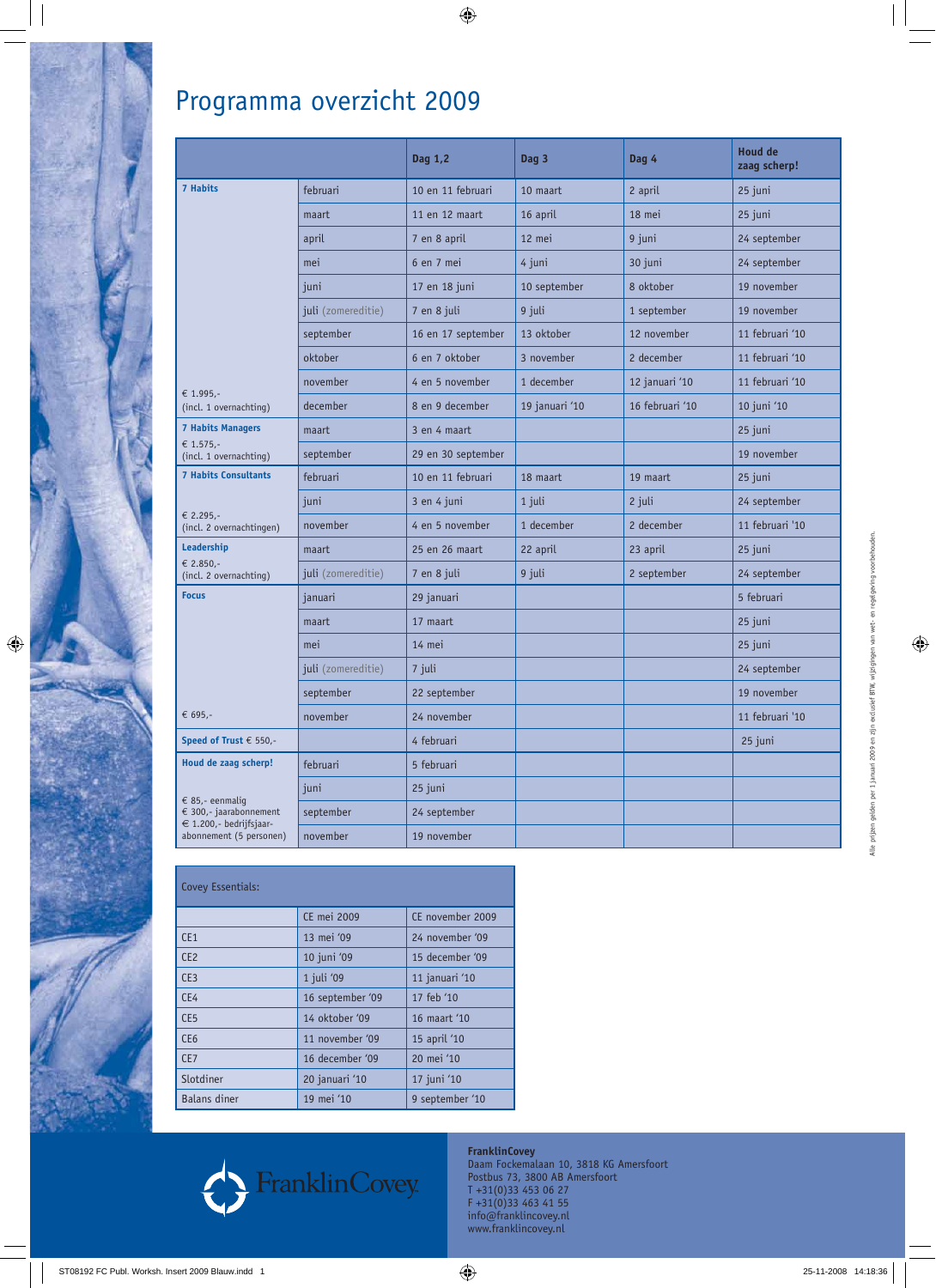

## Programma overzicht 2009

|                                                                                                                         |                    | Dag 1,2            | Dag 3          | Dag 4           | <b>Houd de</b><br>zaag scherp! |
|-------------------------------------------------------------------------------------------------------------------------|--------------------|--------------------|----------------|-----------------|--------------------------------|
| <b>7 Habits</b><br>€ 1.995,-<br>(incl. 1 overnachting)                                                                  | februari           | 10 en 11 februari  | 10 maart       | 2 april         | 25 juni                        |
|                                                                                                                         | maart              | 11 en 12 maart     | 16 april       | 18 mei          | 25 juni                        |
|                                                                                                                         | april              | 7 en 8 april       | 12 mei         | 9 juni          | 24 september                   |
|                                                                                                                         | mei                | 6 en 7 mei         | 4 juni         | 30 juni         | 24 september                   |
|                                                                                                                         | juni               | 17 en 18 juni      | 10 september   | 8 oktober       | 19 november                    |
|                                                                                                                         | juli (zomereditie) | 7 en 8 juli        | 9 juli         | 1 september     | 19 november                    |
|                                                                                                                         | september          | 16 en 17 september | 13 oktober     | 12 november     | 11 februari '10                |
|                                                                                                                         | oktober            | 6 en 7 oktober     | 3 november     | 2 december      | 11 februari '10                |
|                                                                                                                         | november           | 4 en 5 november    | 1 december     | 12 januari '10  | 11 februari '10                |
|                                                                                                                         | december           | 8 en 9 december    | 19 januari '10 | 16 februari '10 | 10 juni '10                    |
| <b>7 Habits Managers</b><br>€ 1.575,-<br>(incl. 1 overnachting)                                                         | maart              | 3 en 4 maart       |                |                 | 25 juni                        |
|                                                                                                                         | september          | 29 en 30 september |                |                 | 19 november                    |
| <b>7 Habits Consultants</b><br>€ 2.295,-<br>(incl. 2 overnachtingen)                                                    | februari           | 10 en 11 februari  | 18 maart       | 19 maart        | 25 juni                        |
|                                                                                                                         | juni               | 3 en 4 juni        | 1 juli         | 2 juli          | 24 september                   |
|                                                                                                                         | november           | 4 en 5 november    | 1 december     | 2 december      | 11 februari '10                |
| Leadership<br>€ 2.850,-<br>(incl. 2 overnachting)                                                                       | maart              | 25 en 26 maart     | 22 april       | 23 april        | 25 juni                        |
|                                                                                                                         | juli (zomereditie) | 7 en 8 juli        | 9 juli         | 2 september     | 24 september                   |
| <b>Focus</b>                                                                                                            | januari            | 29 januari         |                |                 | 5 februari                     |
|                                                                                                                         | maart              | 17 maart           |                |                 | 25 juni                        |
|                                                                                                                         | mei                | 14 mei             |                |                 | 25 juni                        |
|                                                                                                                         | juli (zomereditie) | 7 juli             |                |                 | 24 september                   |
|                                                                                                                         | september          | 22 september       |                |                 | 19 november                    |
| € 695,-                                                                                                                 | november           | 24 november        |                |                 | 11 februari '10                |
| Speed of Trust $\epsilon$ 550,-                                                                                         |                    | 4 februari         |                |                 | 25 juni                        |
| Houd de zaag scherp!<br>€ 85,- eenmaliq<br>€ 300,- jaarabonnement<br>€ 1.200,- bedrijfsjaar-<br>abonnement (5 personen) | februari           | 5 februari         |                |                 |                                |
|                                                                                                                         | juni               | 25 juni            |                |                 |                                |
|                                                                                                                         | september          | 24 september       |                |                 |                                |
|                                                                                                                         | november           | 19 november        |                |                 |                                |

 $\bigoplus$ 

| Covey Essentials:   |                  |                  |  |  |  |
|---------------------|------------------|------------------|--|--|--|
|                     | CE mei 2009      | CE november 2009 |  |  |  |
| CE1                 | 13 mei '09       | 24 november '09  |  |  |  |
| CF2                 | 10 juni '09      | 15 december '09  |  |  |  |
| CE <sub>3</sub>     | 1 juli '09       | 11 januari '10   |  |  |  |
| CE4                 | 16 september '09 | 17 feb '10       |  |  |  |
| CE <sub>5</sub>     | 14 oktober '09   | 16 maart '10     |  |  |  |
| CE <sub>6</sub>     | 11 november '09  | 15 april '10     |  |  |  |
| CE <sub>7</sub>     | 16 december '09  | 20 mei '10       |  |  |  |
| Slotdiner           | 20 januari '10   | 17 juni '10      |  |  |  |
| <b>Balans</b> diner | 19 mei '10       | 9 september '10  |  |  |  |



**FranklinCovey**  Daam Fockemalaan 10, 3818 KG Amersfoort Postbus 73, 3800 AB Amersfoort T +31(0)33 453 06 27 F +31(0)33 463 41 55 info@franklincovey.nl www.franklincovey.nl

 $\bigoplus$